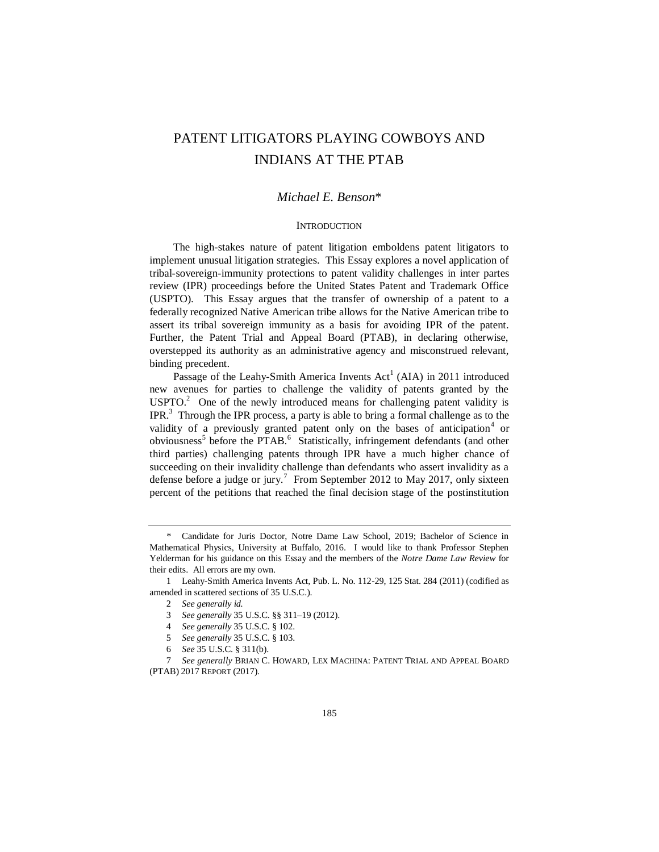# PATENT LITIGATORS PLAYING COWBOYS AND INDIANS AT THE PTAB

# *Michael E. Benson*\*

## **INTRODUCTION**

The high-stakes nature of patent litigation emboldens patent litigators to implement unusual litigation strategies. This Essay explores a novel application of tribal-sovereign-immunity protections to patent validity challenges in inter partes review (IPR) proceedings before the United States Patent and Trademark Office (USPTO). This Essay argues that the transfer of ownership of a patent to a federally recognized Native American tribe allows for the Native American tribe to assert its tribal sovereign immunity as a basis for avoiding IPR of the patent. Further, the Patent Trial and Appeal Board (PTAB), in declaring otherwise, overstepped its authority as an administrative agency and misconstrued relevant, binding precedent.

Passage of the Leahy-Smith America Invents  $Act^1(AIA)$  in 2011 introduced new avenues for parties to challenge the validity of patents granted by the  $USPTO<sup>2</sup>$  One of the newly introduced means for challenging patent validity is IPR.<sup>3</sup> Through the IPR process, a party is able to bring a formal challenge as to the validity of a previously granted patent only on the bases of anticipation<sup>4</sup> or obviousness<sup>5</sup> before the PTAB.<sup>6</sup> Statistically, infringement defendants (and other third parties) challenging patents through IPR have a much higher chance of succeeding on their invalidity challenge than defendants who assert invalidity as a defense before a judge or jury.<sup>7</sup> From September 2012 to May 2017, only sixteen percent of the petitions that reached the final decision stage of the postinstitution

7 *See generally* BRIAN C. HOWARD, LEX MACHINA: PATENT TRIAL AND APPEAL BOARD (PTAB) 2017 REPORT (2017).

Candidate for Juris Doctor, Notre Dame Law School, 2019; Bachelor of Science in Mathematical Physics, University at Buffalo, 2016. I would like to thank Professor Stephen Yelderman for his guidance on this Essay and the members of the *Notre Dame Law Review* for their edits. All errors are my own.

<sup>1</sup> Leahy-Smith America Invents Act, Pub. L. No. 112-29, 125 Stat. 284 (2011) (codified as amended in scattered sections of 35 U.S.C.).

<sup>2</sup> *See generally id.*

<sup>3</sup> *See generally* 35 U.S.C. §§ 311–19 (2012).

<sup>4</sup> *See generally* 35 U.S.C. § 102.

<sup>5</sup> *See generally* 35 U.S.C. § 103.

<sup>6</sup> *See* 35 U.S.C. § 311(b).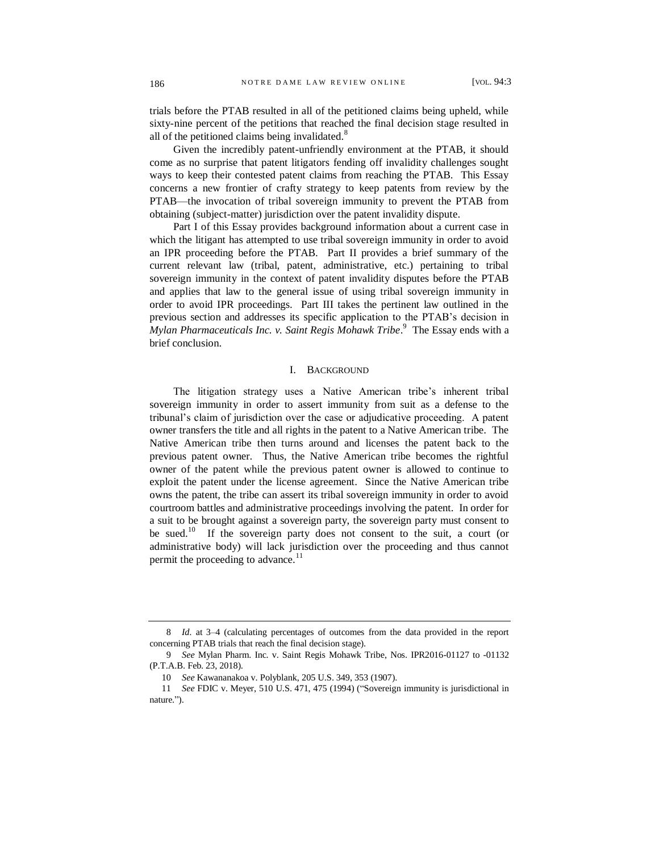trials before the PTAB resulted in all of the petitioned claims being upheld, while sixty-nine percent of the petitions that reached the final decision stage resulted in all of the petitioned claims being invalidated.<sup>8</sup>

Given the incredibly patent-unfriendly environment at the PTAB, it should come as no surprise that patent litigators fending off invalidity challenges sought ways to keep their contested patent claims from reaching the PTAB. This Essay concerns a new frontier of crafty strategy to keep patents from review by the PTAB—the invocation of tribal sovereign immunity to prevent the PTAB from obtaining (subject-matter) jurisdiction over the patent invalidity dispute.

Part I of this Essay provides background information about a current case in which the litigant has attempted to use tribal sovereign immunity in order to avoid an IPR proceeding before the PTAB. Part II provides a brief summary of the current relevant law (tribal, patent, administrative, etc.) pertaining to tribal sovereign immunity in the context of patent invalidity disputes before the PTAB and applies that law to the general issue of using tribal sovereign immunity in order to avoid IPR proceedings. Part III takes the pertinent law outlined in the previous section and addresses its specific application to the PTAB's decision in *Mylan Pharmaceuticals Inc. v. Saint Regis Mohawk Tribe*. 9 The Essay ends with a brief conclusion.

#### I. BACKGROUND

The litigation strategy uses a Native American tribe's inherent tribal sovereign immunity in order to assert immunity from suit as a defense to the tribunal's claim of jurisdiction over the case or adjudicative proceeding. A patent owner transfers the title and all rights in the patent to a Native American tribe. The Native American tribe then turns around and licenses the patent back to the previous patent owner. Thus, the Native American tribe becomes the rightful owner of the patent while the previous patent owner is allowed to continue to exploit the patent under the license agreement. Since the Native American tribe owns the patent, the tribe can assert its tribal sovereign immunity in order to avoid courtroom battles and administrative proceedings involving the patent. In order for a suit to be brought against a sovereign party, the sovereign party must consent to be sued.<sup>10</sup> If the sovereign party does not consent to the suit, a court (or administrative body) will lack jurisdiction over the proceeding and thus cannot permit the proceeding to advance.<sup>11</sup>

<sup>8</sup> *Id.* at 3–4 (calculating percentages of outcomes from the data provided in the report concerning PTAB trials that reach the final decision stage).

<sup>9</sup> *See* Mylan Pharm. Inc. v. Saint Regis Mohawk Tribe, Nos. IPR2016-01127 to -01132 (P.T.A.B. Feb. 23, 2018).

<sup>10</sup> *See* Kawananakoa v. Polyblank, 205 U.S. 349, 353 (1907).

<sup>11</sup> *See* FDIC v. Meyer, 510 U.S. 471, 475 (1994) ("Sovereign immunity is jurisdictional in nature.").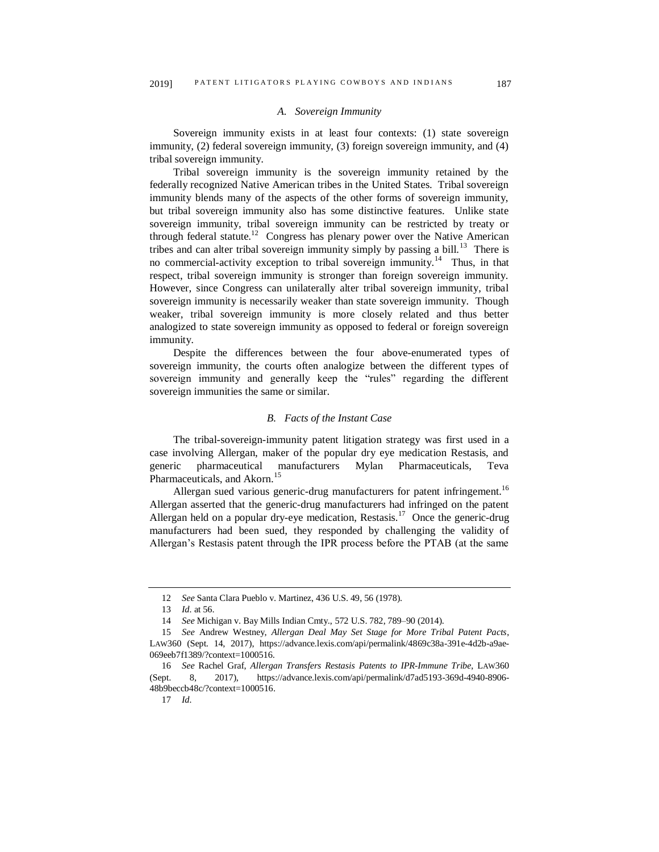# *A. Sovereign Immunity*

Sovereign immunity exists in at least four contexts: (1) state sovereign immunity, (2) federal sovereign immunity, (3) foreign sovereign immunity, and (4) tribal sovereign immunity.

Tribal sovereign immunity is the sovereign immunity retained by the federally recognized Native American tribes in the United States. Tribal sovereign immunity blends many of the aspects of the other forms of sovereign immunity, but tribal sovereign immunity also has some distinctive features. Unlike state sovereign immunity, tribal sovereign immunity can be restricted by treaty or through federal statute.<sup>12</sup> Congress has plenary power over the Native American tribes and can alter tribal sovereign immunity simply by passing a bill.<sup>13</sup> There is no commercial-activity exception to tribal sovereign immunity.<sup>14</sup> Thus, in that respect, tribal sovereign immunity is stronger than foreign sovereign immunity. However, since Congress can unilaterally alter tribal sovereign immunity, tribal sovereign immunity is necessarily weaker than state sovereign immunity. Though weaker, tribal sovereign immunity is more closely related and thus better analogized to state sovereign immunity as opposed to federal or foreign sovereign immunity.

Despite the differences between the four above-enumerated types of sovereign immunity, the courts often analogize between the different types of sovereign immunity and generally keep the "rules" regarding the different sovereign immunities the same or similar.

## *B. Facts of the Instant Case*

The tribal-sovereign-immunity patent litigation strategy was first used in a case involving Allergan, maker of the popular dry eye medication Restasis, and generic pharmaceutical manufacturers Mylan Pharmaceuticals, Teva Pharmaceuticals, and Akorn.<sup>15</sup>

Allergan sued various generic-drug manufacturers for patent infringement.<sup>16</sup> Allergan asserted that the generic-drug manufacturers had infringed on the patent Allergan held on a popular dry-eye medication, Restasis.<sup>17</sup> Once the generic-drug manufacturers had been sued, they responded by challenging the validity of Allergan's Restasis patent through the IPR process before the PTAB (at the same

<sup>12</sup> *See* Santa Clara Pueblo v. Martinez, 436 U.S. 49, 56 (1978).

<sup>13</sup> *Id.* at 56.

<sup>14</sup> *See* Michigan v. Bay Mills Indian Cmty., 572 U.S. 782, 789–90 (2014).

<sup>15</sup> *See* Andrew Westney, *Allergan Deal May Set Stage for More Tribal Patent Pacts*, LAW360 (Sept. 14, 2017), https://advance.lexis.com/api/permalink/4869c38a-391e-4d2b-a9ae-069eeb7f1389/?context=1000516.

<sup>16</sup> *See* Rachel Graf, *Allergan Transfers Restasis Patents to IPR-Immune Tribe*, LAW360 (Sept. 8, 2017), https://advance.lexis.com/api/permalink/d7ad5193-369d-4940-8906- 48b9beccb48c/?context=1000516.

<sup>17</sup> *Id.*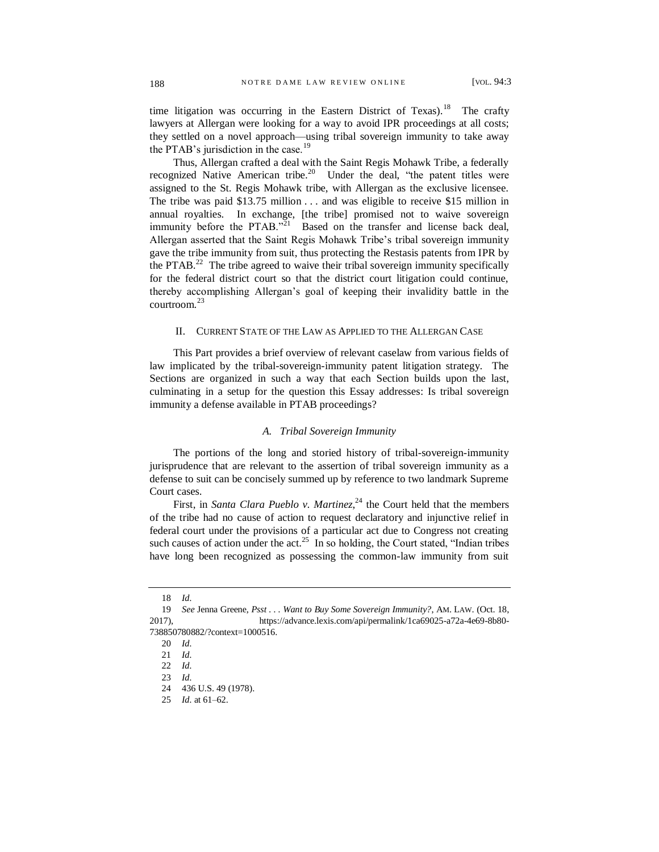time litigation was occurring in the Eastern District of Texas).<sup>18</sup> The crafty lawyers at Allergan were looking for a way to avoid IPR proceedings at all costs; they settled on a novel approach—using tribal sovereign immunity to take away the PTAB's jurisdiction in the case.<sup>19</sup>

Thus, Allergan crafted a deal with the Saint Regis Mohawk Tribe, a federally recognized Native American tribe.<sup>20</sup> Under the deal, "the patent titles were assigned to the St. Regis Mohawk tribe, with Allergan as the exclusive licensee. The tribe was paid \$13.75 million . . . and was eligible to receive \$15 million in annual royalties. In exchange, [the tribe] promised not to waive sovereign immunity before the PTAB. $2^{521}$  Based on the transfer and license back deal, Allergan asserted that the Saint Regis Mohawk Tribe's tribal sovereign immunity gave the tribe immunity from suit, thus protecting the Restasis patents from IPR by the PTAB.<sup>22</sup> The tribe agreed to waive their tribal sovereign immunity specifically for the federal district court so that the district court litigation could continue, thereby accomplishing Allergan's goal of keeping their invalidity battle in the courtroom.<sup>23</sup>

#### II. CURRENT STATE OF THE LAW AS APPLIED TO THE ALLERGAN CASE

This Part provides a brief overview of relevant caselaw from various fields of law implicated by the tribal-sovereign-immunity patent litigation strategy. The Sections are organized in such a way that each Section builds upon the last, culminating in a setup for the question this Essay addresses: Is tribal sovereign immunity a defense available in PTAB proceedings?

#### *A. Tribal Sovereign Immunity*

The portions of the long and storied history of tribal-sovereign-immunity jurisprudence that are relevant to the assertion of tribal sovereign immunity as a defense to suit can be concisely summed up by reference to two landmark Supreme Court cases.

First, in *Santa Clara Pueblo v. Martinez*,<sup>24</sup> the Court held that the members of the tribe had no cause of action to request declaratory and injunctive relief in federal court under the provisions of a particular act due to Congress not creating such causes of action under the  $act<sup>25</sup>$  In so holding, the Court stated, "Indian tribes have long been recognized as possessing the common-law immunity from suit

<sup>18</sup> *Id.*

<sup>19</sup> *See* Jenna Greene, *Psst . . . Want to Buy Some Sovereign Immunity?*, AM. LAW. (Oct. 18, 2017), https://advance.lexis.com/api/permalink/1ca69025-a72a-4e69-8b80- 738850780882/?context=1000516.

<sup>20</sup> *Id.*

<sup>21</sup> *Id.*

<sup>22</sup> *Id.*

<sup>23</sup> *Id.*

<sup>24</sup> 436 U.S. 49 (1978).

<sup>25</sup> *Id.* at 61–62.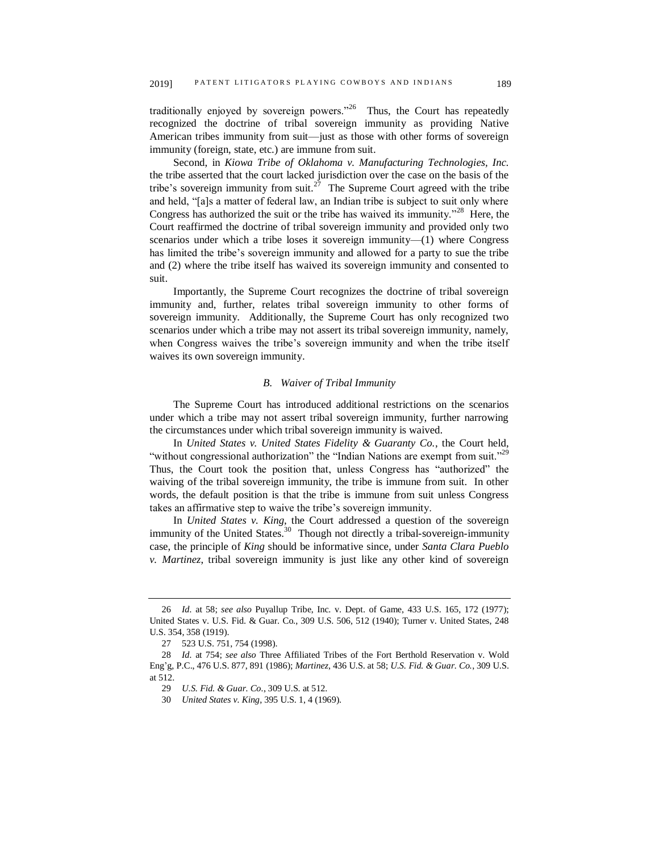traditionally enjoyed by sovereign powers."<sup>26</sup> Thus, the Court has repeatedly recognized the doctrine of tribal sovereign immunity as providing Native American tribes immunity from suit—just as those with other forms of sovereign immunity (foreign, state, etc.) are immune from suit.

Second, in *Kiowa Tribe of Oklahoma v. Manufacturing Technologies, Inc.* the tribe asserted that the court lacked jurisdiction over the case on the basis of the tribe's sovereign immunity from suit.<sup>27</sup> The Supreme Court agreed with the tribe and held, "[a]s a matter of federal law, an Indian tribe is subject to suit only where Congress has authorized the suit or the tribe has waived its immunity."<sup>28</sup> Here, the Court reaffirmed the doctrine of tribal sovereign immunity and provided only two scenarios under which a tribe loses it sovereign immunity—(1) where Congress has limited the tribe's sovereign immunity and allowed for a party to sue the tribe and (2) where the tribe itself has waived its sovereign immunity and consented to suit.

Importantly, the Supreme Court recognizes the doctrine of tribal sovereign immunity and, further, relates tribal sovereign immunity to other forms of sovereign immunity. Additionally, the Supreme Court has only recognized two scenarios under which a tribe may not assert its tribal sovereign immunity, namely, when Congress waives the tribe's sovereign immunity and when the tribe itself waives its own sovereign immunity.

#### *B. Waiver of Tribal Immunity*

The Supreme Court has introduced additional restrictions on the scenarios under which a tribe may not assert tribal sovereign immunity, further narrowing the circumstances under which tribal sovereign immunity is waived.

In *United States v. United States Fidelity & Guaranty Co.*, the Court held, "without congressional authorization" the "Indian Nations are exempt from suit."<sup>29</sup> Thus, the Court took the position that, unless Congress has "authorized" the waiving of the tribal sovereign immunity, the tribe is immune from suit. In other words, the default position is that the tribe is immune from suit unless Congress takes an affirmative step to waive the tribe's sovereign immunity.

In *United States v. King*, the Court addressed a question of the sovereign immunity of the United States.<sup>30</sup> Though not directly a tribal-sovereign-immunity case, the principle of *King* should be informative since, under *Santa Clara Pueblo v. Martinez*, tribal sovereign immunity is just like any other kind of sovereign

<sup>26</sup> *Id.* at 58; *see also* Puyallup Tribe, Inc. v. Dept. of Game, 433 U.S. 165, 172 (1977); United States v. U.S. Fid. & Guar. Co., 309 U.S. 506, 512 (1940); Turner v. United States, 248 U.S. 354, 358 (1919).

<sup>27</sup> 523 U.S. 751, 754 (1998).

<sup>28</sup> *Id.* at 754; *see also* Three Affiliated Tribes of the Fort Berthold Reservation v. Wold Eng'g, P.C., 476 U.S. 877, 891 (1986); *Martinez*, 436 U.S. at 58; *U.S. Fid. & Guar. Co.*, 309 U.S. at 512.

<sup>29</sup> *U.S. Fid. & Guar. Co.*, 309 U.S. at 512.

<sup>30</sup> *United States v. King*, 395 U.S. 1, 4 (1969).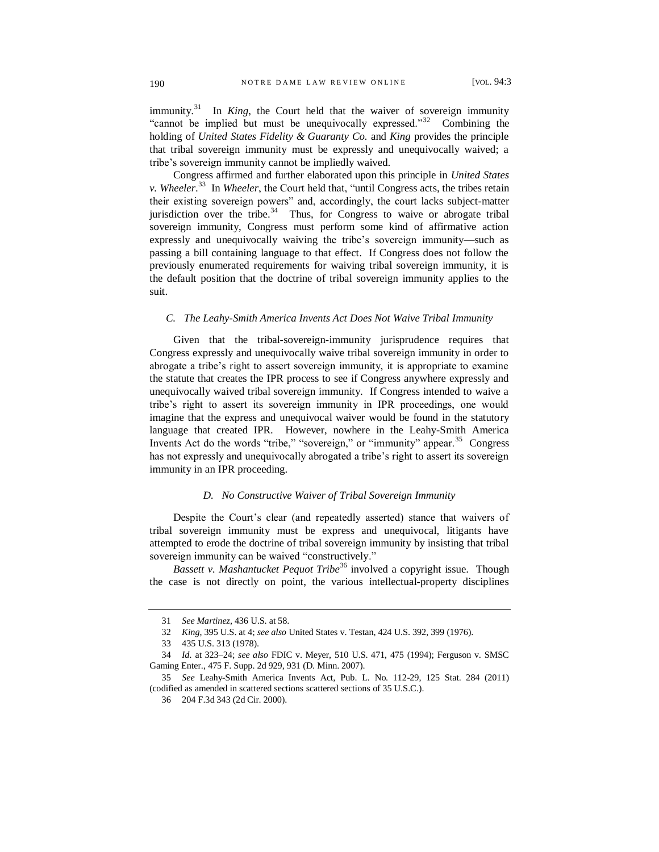immunity.<sup>31</sup> In *King*, the Court held that the waiver of sovereign immunity "cannot be implied but must be unequivocally expressed."<sup>32</sup> Combining the holding of *United States Fidelity & Guaranty Co.* and *King* provides the principle that tribal sovereign immunity must be expressly and unequivocally waived; a tribe's sovereign immunity cannot be impliedly waived.

Congress affirmed and further elaborated upon this principle in *United States v. Wheeler*. 33 In *Wheeler*, the Court held that, "until Congress acts, the tribes retain their existing sovereign powers" and, accordingly, the court lacks subject-matter jurisdiction over the tribe. $34$  Thus, for Congress to waive or abrogate tribal sovereign immunity, Congress must perform some kind of affirmative action expressly and unequivocally waiving the tribe's sovereign immunity—such as passing a bill containing language to that effect. If Congress does not follow the previously enumerated requirements for waiving tribal sovereign immunity, it is the default position that the doctrine of tribal sovereign immunity applies to the suit.

#### *C. The Leahy-Smith America Invents Act Does Not Waive Tribal Immunity*

Given that the tribal-sovereign-immunity jurisprudence requires that Congress expressly and unequivocally waive tribal sovereign immunity in order to abrogate a tribe's right to assert sovereign immunity, it is appropriate to examine the statute that creates the IPR process to see if Congress anywhere expressly and unequivocally waived tribal sovereign immunity. If Congress intended to waive a tribe's right to assert its sovereign immunity in IPR proceedings, one would imagine that the express and unequivocal waiver would be found in the statutory language that created IPR. However, nowhere in the Leahy-Smith America Invents Act do the words "tribe," "sovereign," or "immunity" appear.<sup>35</sup> Congress has not expressly and unequivocally abrogated a tribe's right to assert its sovereign immunity in an IPR proceeding.

#### *D. No Constructive Waiver of Tribal Sovereign Immunity*

Despite the Court's clear (and repeatedly asserted) stance that waivers of tribal sovereign immunity must be express and unequivocal, litigants have attempted to erode the doctrine of tribal sovereign immunity by insisting that tribal sovereign immunity can be waived "constructively."

*Bassett v. Mashantucket Pequot Tribe*<sup>36</sup> involved a copyright issue. Though the case is not directly on point, the various intellectual-property disciplines

<sup>31</sup> *See Martinez*, 436 U.S. at 58.

<sup>32</sup> *King*, 395 U.S. at 4; *see also* United States v. Testan, 424 U.S. 392, 399 (1976).

<sup>33</sup> 435 U.S. 313 (1978).

<sup>34</sup> *Id.* at 323–24; *see also* FDIC v. Meyer, 510 U.S. 471, 475 (1994); Ferguson v. SMSC Gaming Enter., 475 F. Supp. 2d 929, 931 (D. Minn. 2007).

<sup>35</sup> *See* Leahy-Smith America Invents Act, Pub. L. No. 112-29, 125 Stat. 284 (2011) (codified as amended in scattered sections scattered sections of 35 U.S.C.).

<sup>36</sup> 204 F.3d 343 (2d Cir. 2000).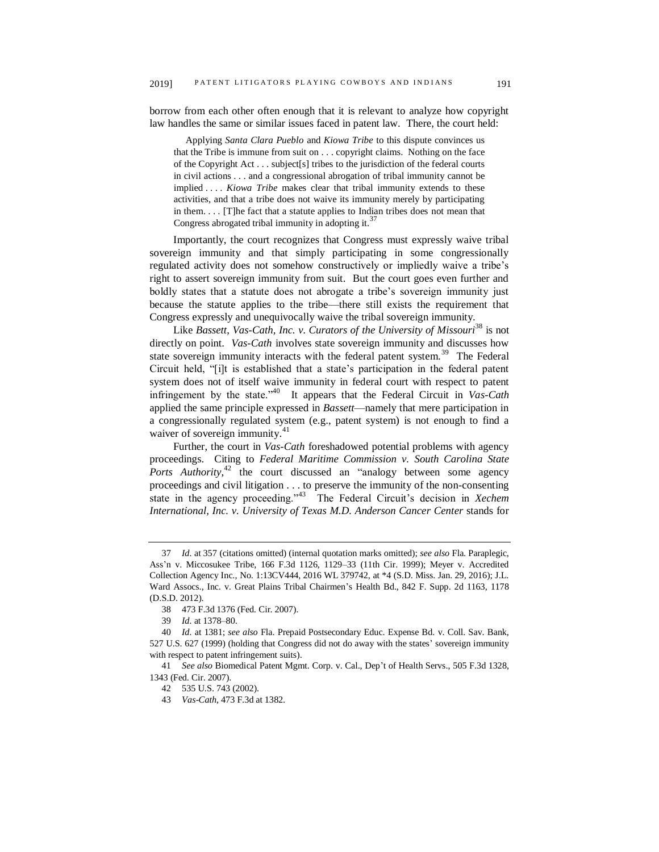borrow from each other often enough that it is relevant to analyze how copyright law handles the same or similar issues faced in patent law. There, the court held:

 Applying *Santa Clara Pueblo* and *Kiowa Tribe* to this dispute convinces us that the Tribe is immune from suit on . . . copyright claims. Nothing on the face of the Copyright Act . . . subject[s] tribes to the jurisdiction of the federal courts in civil actions . . . and a congressional abrogation of tribal immunity cannot be implied . . . . *Kiowa Tribe* makes clear that tribal immunity extends to these activities, and that a tribe does not waive its immunity merely by participating in them. . . . [T]he fact that a statute applies to Indian tribes does not mean that Congress abrogated tribal immunity in adopting it.<sup>3</sup>

Importantly, the court recognizes that Congress must expressly waive tribal sovereign immunity and that simply participating in some congressionally regulated activity does not somehow constructively or impliedly waive a tribe's right to assert sovereign immunity from suit. But the court goes even further and boldly states that a statute does not abrogate a tribe's sovereign immunity just because the statute applies to the tribe—there still exists the requirement that Congress expressly and unequivocally waive the tribal sovereign immunity.

Like *Bassett*, *Vas-Cath, Inc. v. Curators of the University of Missouri*<sup>38</sup> is not directly on point. *Vas-Cath* involves state sovereign immunity and discusses how state sovereign immunity interacts with the federal patent system.<sup>39</sup> The Federal Circuit held, "[i]t is established that a state's participation in the federal patent system does not of itself waive immunity in federal court with respect to patent infringement by the state."<sup>40</sup> It appears that the Federal Circuit in *Vas-Cath* applied the same principle expressed in *Bassett*—namely that mere participation in a congressionally regulated system (e.g., patent system) is not enough to find a waiver of sovereign immunity.<sup>41</sup>

Further, the court in *Vas-Cath* foreshadowed potential problems with agency proceedings. Citing to *Federal Maritime Commission v. South Carolina State*  Ports Authority,<sup>42</sup> the court discussed an "analogy between some agency proceedings and civil litigation . . . to preserve the immunity of the non-consenting state in the agency proceeding."<sup>43</sup> The Federal Circuit's decision in *Xechem International, Inc. v. University of Texas M.D. Anderson Cancer Center* stands for

<sup>37</sup> *Id.* at 357 (citations omitted) (internal quotation marks omitted); *see also* Fla. Paraplegic, Ass'n v. Miccosukee Tribe, 166 F.3d 1126, 1129–33 (11th Cir. 1999); Meyer v. Accredited Collection Agency Inc., No. 1:13CV444, 2016 WL 379742, at \*4 (S.D. Miss. Jan. 29, 2016); J.L. Ward Assocs., Inc. v. Great Plains Tribal Chairmen's Health Bd., 842 F. Supp. 2d 1163, 1178 (D.S.D. 2012).

<sup>38</sup> 473 F.3d 1376 (Fed. Cir. 2007).

<sup>39</sup> *Id.* at 1378–80.

<sup>40</sup> *Id.* at 1381; *see also* Fla. Prepaid Postsecondary Educ. Expense Bd. v. Coll. Sav. Bank, 527 U.S. 627 (1999) (holding that Congress did not do away with the states' sovereign immunity with respect to patent infringement suits).

<sup>41</sup> *See also* Biomedical Patent Mgmt. Corp. v. Cal., Dep't of Health Servs., 505 F.3d 1328, 1343 (Fed. Cir. 2007).

<sup>42</sup> 535 U.S. 743 (2002).

<sup>43</sup> *Vas-Cath*, 473 F.3d at 1382.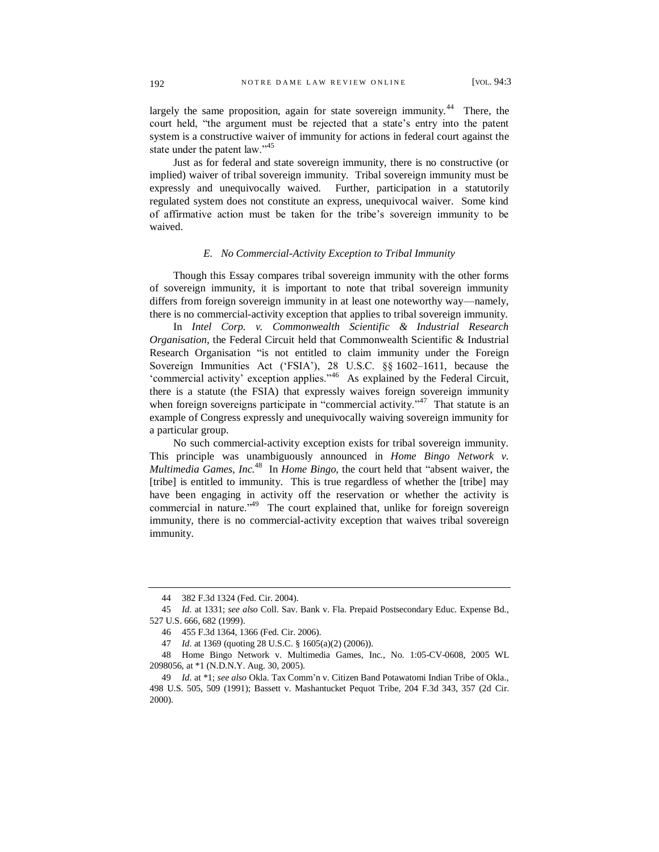largely the same proposition, again for state sovereign immunity.<sup>44</sup> There, the court held, "the argument must be rejected that a state's entry into the patent system is a constructive waiver of immunity for actions in federal court against the state under the patent law."<sup>45</sup>

Just as for federal and state sovereign immunity, there is no constructive (or implied) waiver of tribal sovereign immunity. Tribal sovereign immunity must be expressly and unequivocally waived. Further, participation in a statutorily regulated system does not constitute an express, unequivocal waiver. Some kind of affirmative action must be taken for the tribe's sovereign immunity to be waived.

#### *E. No Commercial-Activity Exception to Tribal Immunity*

Though this Essay compares tribal sovereign immunity with the other forms of sovereign immunity, it is important to note that tribal sovereign immunity differs from foreign sovereign immunity in at least one noteworthy way—namely, there is no commercial-activity exception that applies to tribal sovereign immunity.

In *Intel Corp. v. Commonwealth Scientific & Industrial Research Organisation*, the Federal Circuit held that Commonwealth Scientific & Industrial Research Organisation "is not entitled to claim immunity under the Foreign Sovereign Immunities Act ('FSIA'), 28 U.S.C. §§ 1602–1611, because the 'commercial activity' exception applies."<sup>46</sup> As explained by the Federal Circuit, there is a statute (the FSIA) that expressly waives foreign sovereign immunity when foreign sovereigns participate in "commercial activity."<sup>47</sup> That statute is an example of Congress expressly and unequivocally waiving sovereign immunity for a particular group.

No such commercial-activity exception exists for tribal sovereign immunity. This principle was unambiguously announced in *Home Bingo Network v. Multimedia Games, Inc.*<sup>48</sup> In *Home Bingo*, the court held that "absent waiver, the [tribe] is entitled to immunity. This is true regardless of whether the [tribe] may have been engaging in activity off the reservation or whether the activity is commercial in nature."<sup>49</sup> The court explained that, unlike for foreign sovereign immunity, there is no commercial-activity exception that waives tribal sovereign immunity.

<sup>44</sup> 382 F.3d 1324 (Fed. Cir. 2004).

<sup>45</sup> *Id.* at 1331; *see also* Coll. Sav. Bank v. Fla. Prepaid Postsecondary Educ. Expense Bd., 527 U.S. 666, 682 (1999).

<sup>46</sup> 455 F.3d 1364, 1366 (Fed. Cir. 2006).

<sup>47</sup> *Id.* at 1369 (quoting 28 U.S.C. § 1605(a)(2) (2006)).

<sup>48</sup> Home Bingo Network v. Multimedia Games, Inc., No. 1:05-CV-0608, 2005 WL 2098056, at \*1 (N.D.N.Y. Aug. 30, 2005).

<sup>49</sup> *Id.* at \*1; *see also* Okla. Tax Comm'n v. Citizen Band Potawatomi Indian Tribe of Okla., 498 U.S. 505, 509 (1991); Bassett v. Mashantucket Pequot Tribe, 204 F.3d 343, 357 (2d Cir. 2000).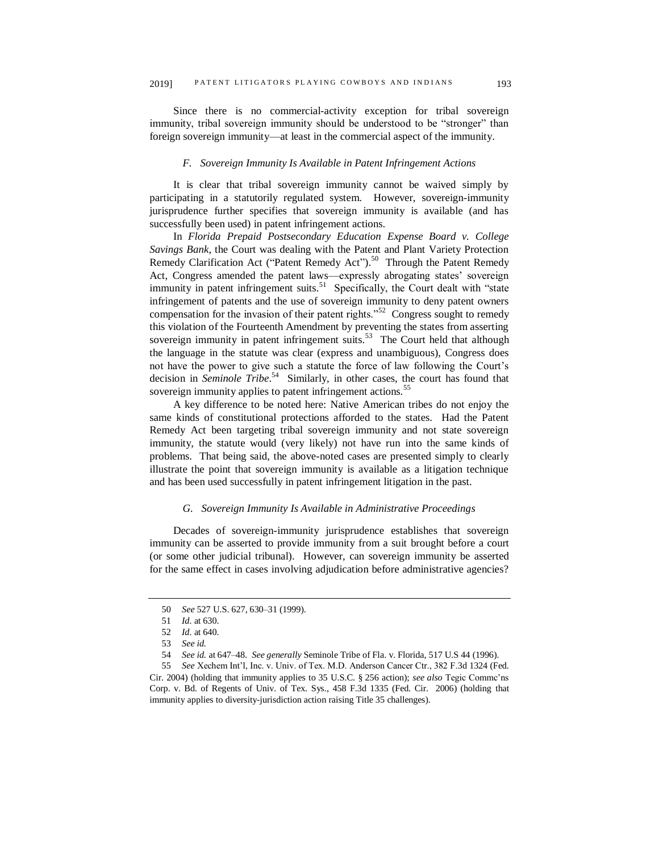Since there is no commercial-activity exception for tribal sovereign immunity, tribal sovereign immunity should be understood to be "stronger" than foreign sovereign immunity—at least in the commercial aspect of the immunity.

#### *F. Sovereign Immunity Is Available in Patent Infringement Actions*

It is clear that tribal sovereign immunity cannot be waived simply by participating in a statutorily regulated system. However, sovereign-immunity jurisprudence further specifies that sovereign immunity is available (and has successfully been used) in patent infringement actions.

In *Florida Prepaid Postsecondary Education Expense Board v. College Savings Bank*, the Court was dealing with the Patent and Plant Variety Protection Remedy Clarification Act ("Patent Remedy Act").<sup>50</sup> Through the Patent Remedy Act, Congress amended the patent laws—expressly abrogating states' sovereign immunity in patent infringement suits.<sup>51</sup> Specifically, the Court dealt with "state infringement of patents and the use of sovereign immunity to deny patent owners compensation for the invasion of their patent rights." $52$  Congress sought to remedy this violation of the Fourteenth Amendment by preventing the states from asserting sovereign immunity in patent infringement suits.<sup>53</sup> The Court held that although the language in the statute was clear (express and unambiguous), Congress does not have the power to give such a statute the force of law following the Court's decision in *Seminole Tribe*. 54 Similarly, in other cases, the court has found that sovereign immunity applies to patent infringement actions.<sup>55</sup>

A key difference to be noted here: Native American tribes do not enjoy the same kinds of constitutional protections afforded to the states. Had the Patent Remedy Act been targeting tribal sovereign immunity and not state sovereign immunity, the statute would (very likely) not have run into the same kinds of problems. That being said, the above-noted cases are presented simply to clearly illustrate the point that sovereign immunity is available as a litigation technique and has been used successfully in patent infringement litigation in the past.

#### *G. Sovereign Immunity Is Available in Administrative Proceedings*

Decades of sovereign-immunity jurisprudence establishes that sovereign immunity can be asserted to provide immunity from a suit brought before a court (or some other judicial tribunal). However, can sovereign immunity be asserted for the same effect in cases involving adjudication before administrative agencies?

<sup>50</sup> *See* 527 U.S. 627, 630–31 (1999).

<sup>51</sup> *Id.* at 630.

<sup>52</sup> *Id.* at 640.

<sup>53</sup> *See id.*

<sup>54</sup> *See id.* at 647–48. *See generally* Seminole Tribe of Fla. v. Florida, 517 U.S 44 (1996).

<sup>55</sup> *See* Xechem Int'l, Inc. v. Univ. of Tex. M.D. Anderson Cancer Ctr., 382 F.3d 1324 (Fed. Cir. 2004) (holding that immunity applies to 35 U.S.C. § 256 action); *see also* Tegic Commc'ns Corp. v. Bd. of Regents of Univ. of Tex. Sys., 458 F.3d 1335 (Fed. Cir. 2006) (holding that immunity applies to diversity-jurisdiction action raising Title 35 challenges).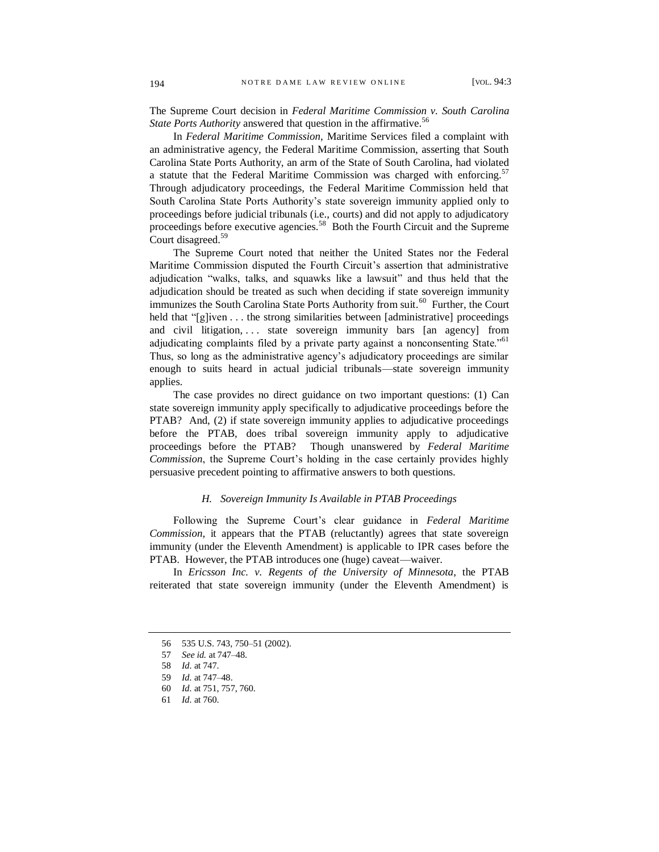The Supreme Court decision in *Federal Maritime Commission v. South Carolina State Ports Authority* answered that question in the affirmative. 56

In *Federal Maritime Commission*, Maritime Services filed a complaint with an administrative agency, the Federal Maritime Commission, asserting that South Carolina State Ports Authority, an arm of the State of South Carolina, had violated a statute that the Federal Maritime Commission was charged with enforcing.<sup>57</sup> Through adjudicatory proceedings, the Federal Maritime Commission held that South Carolina State Ports Authority's state sovereign immunity applied only to proceedings before judicial tribunals (i.e., courts) and did not apply to adjudicatory proceedings before executive agencies.<sup>58</sup> Both the Fourth Circuit and the Supreme Court disagreed.<sup>59</sup>

The Supreme Court noted that neither the United States nor the Federal Maritime Commission disputed the Fourth Circuit's assertion that administrative adjudication "walks, talks, and squawks like a lawsuit" and thus held that the adjudication should be treated as such when deciding if state sovereign immunity immunizes the South Carolina State Ports Authority from suit.<sup>60</sup> Further, the Court held that "[g]iven . . . the strong similarities between [administrative] proceedings and civil litigation, ... state sovereign immunity bars [an agency] from adjudicating complaints filed by a private party against a nonconsenting State.<sup>"61</sup> Thus, so long as the administrative agency's adjudicatory proceedings are similar enough to suits heard in actual judicial tribunals—state sovereign immunity applies.

The case provides no direct guidance on two important questions: (1) Can state sovereign immunity apply specifically to adjudicative proceedings before the PTAB? And, (2) if state sovereign immunity applies to adjudicative proceedings before the PTAB, does tribal sovereign immunity apply to adjudicative proceedings before the PTAB? Though unanswered by *Federal Maritime Commission*, the Supreme Court's holding in the case certainly provides highly persuasive precedent pointing to affirmative answers to both questions.

#### *H. Sovereign Immunity Is Available in PTAB Proceedings*

Following the Supreme Court's clear guidance in *Federal Maritime Commission*, it appears that the PTAB (reluctantly) agrees that state sovereign immunity (under the Eleventh Amendment) is applicable to IPR cases before the PTAB. However, the PTAB introduces one (huge) caveat—waiver.

In *Ericsson Inc. v. Regents of the University of Minnesota*, the PTAB reiterated that state sovereign immunity (under the Eleventh Amendment) is

<sup>56</sup> 535 U.S. 743, 750–51 (2002).

<sup>57</sup> *See id.* at 747–48.

<sup>58</sup> *Id.* at 747.

<sup>59</sup> *Id.* at 747–48.

<sup>60</sup> *Id.* at 751, 757, 760.

<sup>61</sup> *Id.* at 760.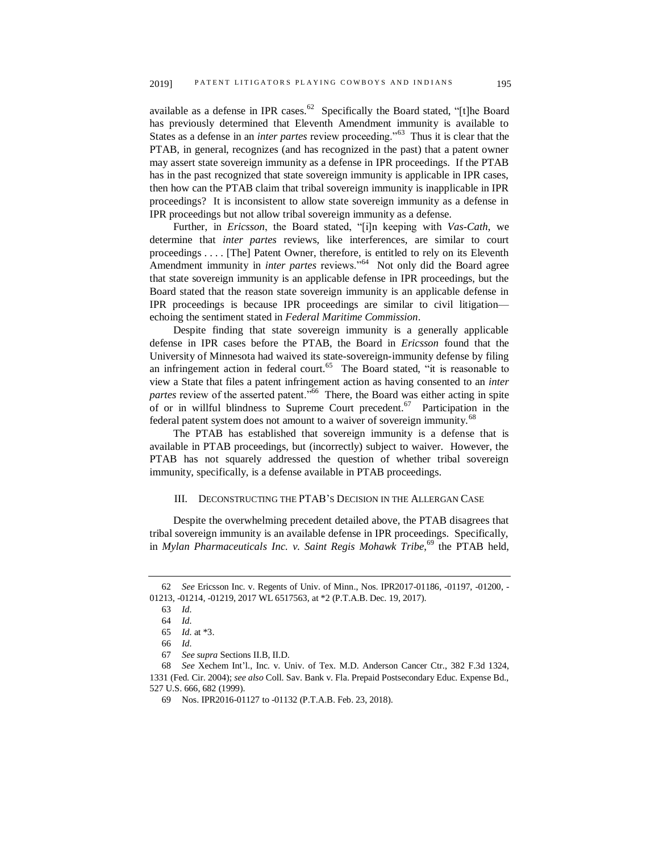available as a defense in IPR cases.<sup>62</sup> Specifically the Board stated, "[t]he Board has previously determined that Eleventh Amendment immunity is available to States as a defense in an *inter partes* review proceeding."<sup>63</sup> Thus it is clear that the PTAB, in general, recognizes (and has recognized in the past) that a patent owner may assert state sovereign immunity as a defense in IPR proceedings. If the PTAB has in the past recognized that state sovereign immunity is applicable in IPR cases, then how can the PTAB claim that tribal sovereign immunity is inapplicable in IPR proceedings? It is inconsistent to allow state sovereign immunity as a defense in IPR proceedings but not allow tribal sovereign immunity as a defense.

Further, in *Ericsson*, the Board stated, "[i]n keeping with *Vas-Cath*, we determine that *inter partes* reviews, like interferences, are similar to court proceedings . . . . [The] Patent Owner, therefore, is entitled to rely on its Eleventh Amendment immunity in *inter partes* reviews."<sup>64</sup> Not only did the Board agree that state sovereign immunity is an applicable defense in IPR proceedings, but the Board stated that the reason state sovereign immunity is an applicable defense in IPR proceedings is because IPR proceedings are similar to civil litigation echoing the sentiment stated in *Federal Maritime Commission*.

Despite finding that state sovereign immunity is a generally applicable defense in IPR cases before the PTAB, the Board in *Ericsson* found that the University of Minnesota had waived its state-sovereign-immunity defense by filing an infringement action in federal court.<sup>65</sup> The Board stated, "it is reasonable to view a State that files a patent infringement action as having consented to an *inter*  partes review of the asserted patent."<sup>66</sup> There, the Board was either acting in spite of or in willful blindness to Supreme Court precedent.<sup>67</sup> Participation in the federal patent system does not amount to a waiver of sovereign immunity.<sup>68</sup>

The PTAB has established that sovereign immunity is a defense that is available in PTAB proceedings, but (incorrectly) subject to waiver. However, the PTAB has not squarely addressed the question of whether tribal sovereign immunity, specifically, is a defense available in PTAB proceedings.

#### III. DECONSTRUCTING THE PTAB'S DECISION IN THE ALLERGAN CASE

Despite the overwhelming precedent detailed above, the PTAB disagrees that tribal sovereign immunity is an available defense in IPR proceedings. Specifically, in *Mylan Pharmaceuticals Inc. v. Saint Regis Mohawk Tribe*, <sup>69</sup> the PTAB held,

<sup>62</sup> *See* Ericsson Inc. v. Regents of Univ. of Minn., Nos. IPR2017-01186, -01197, -01200, - 01213, -01214, -01219, 2017 WL 6517563, at \*2 (P.T.A.B. Dec. 19, 2017).

<sup>63</sup> *Id.*

<sup>64</sup> *Id.*

<sup>65</sup> *Id.* at \*3.

<sup>66</sup> *Id.*

<sup>67</sup> *See supra* Sections II.B, II.D.

<sup>68</sup> *See* Xechem Int'l., Inc. v. Univ. of Tex. M.D. Anderson Cancer Ctr., 382 F.3d 1324, 1331 (Fed. Cir. 2004); *see also* Coll. Sav. Bank v. Fla. Prepaid Postsecondary Educ. Expense Bd., 527 U.S. 666, 682 (1999).

<sup>69</sup> Nos. IPR2016-01127 to -01132 (P.T.A.B. Feb. 23, 2018).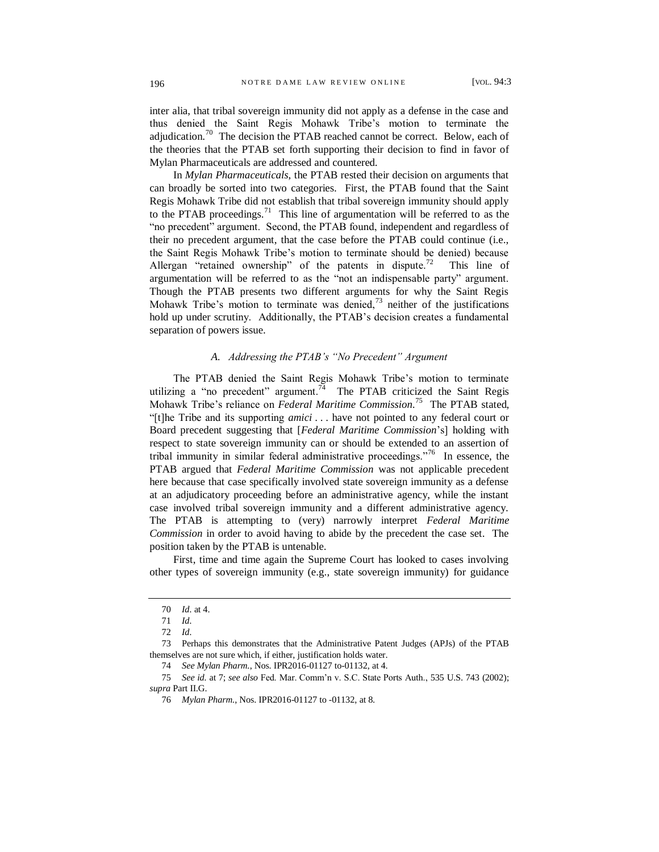inter alia, that tribal sovereign immunity did not apply as a defense in the case and thus denied the Saint Regis Mohawk Tribe's motion to terminate the adjudication.<sup>70</sup> The decision the PTAB reached cannot be correct. Below, each of the theories that the PTAB set forth supporting their decision to find in favor of Mylan Pharmaceuticals are addressed and countered.

In *Mylan Pharmaceuticals*, the PTAB rested their decision on arguments that can broadly be sorted into two categories. First, the PTAB found that the Saint Regis Mohawk Tribe did not establish that tribal sovereign immunity should apply to the PTAB proceedings.<sup>71</sup> This line of argumentation will be referred to as the "no precedent" argument. Second, the PTAB found, independent and regardless of their no precedent argument, that the case before the PTAB could continue (i.e., the Saint Regis Mohawk Tribe's motion to terminate should be denied) because Allergan "retained ownership" of the patents in dispute.<sup>72</sup> This line of argumentation will be referred to as the "not an indispensable party" argument. Though the PTAB presents two different arguments for why the Saint Regis Mohawk Tribe's motion to terminate was denied, $^{73}$  neither of the justifications hold up under scrutiny. Additionally, the PTAB's decision creates a fundamental separation of powers issue.

#### *A. Addressing the PTAB's "No Precedent" Argument*

The PTAB denied the Saint Regis Mohawk Tribe's motion to terminate utilizing a "no precedent" argument.<sup>74</sup> The PTAB criticized the Saint Regis Mohawk Tribe's reliance on *Federal Maritime Commission.* 75 The PTAB stated, "[t]he Tribe and its supporting *amici* . . . have not pointed to any federal court or Board precedent suggesting that [*Federal Maritime Commission*'s] holding with respect to state sovereign immunity can or should be extended to an assertion of tribal immunity in similar federal administrative proceedings."<sup>76</sup> In essence, the PTAB argued that *Federal Maritime Commission* was not applicable precedent here because that case specifically involved state sovereign immunity as a defense at an adjudicatory proceeding before an administrative agency, while the instant case involved tribal sovereign immunity and a different administrative agency. The PTAB is attempting to (very) narrowly interpret *Federal Maritime Commission* in order to avoid having to abide by the precedent the case set. The position taken by the PTAB is untenable.

First, time and time again the Supreme Court has looked to cases involving other types of sovereign immunity (e.g., state sovereign immunity) for guidance

73 Perhaps this demonstrates that the Administrative Patent Judges (APJs) of the PTAB themselves are not sure which, if either, justification holds water.

75 *See id.* at 7; *see also* Fed. Mar. Comm'n v. S.C. State Ports Auth., 535 U.S. 743 (2002); *supra* Part II.G.

<sup>70</sup> *Id.* at 4.

<sup>71</sup> *Id.*

<sup>72</sup> *Id.*

<sup>74</sup> *See Mylan Pharm.*, Nos. IPR2016-01127 to-01132, at 4.

<sup>76</sup> *Mylan Pharm.*, Nos. IPR2016-01127 to -01132, at 8.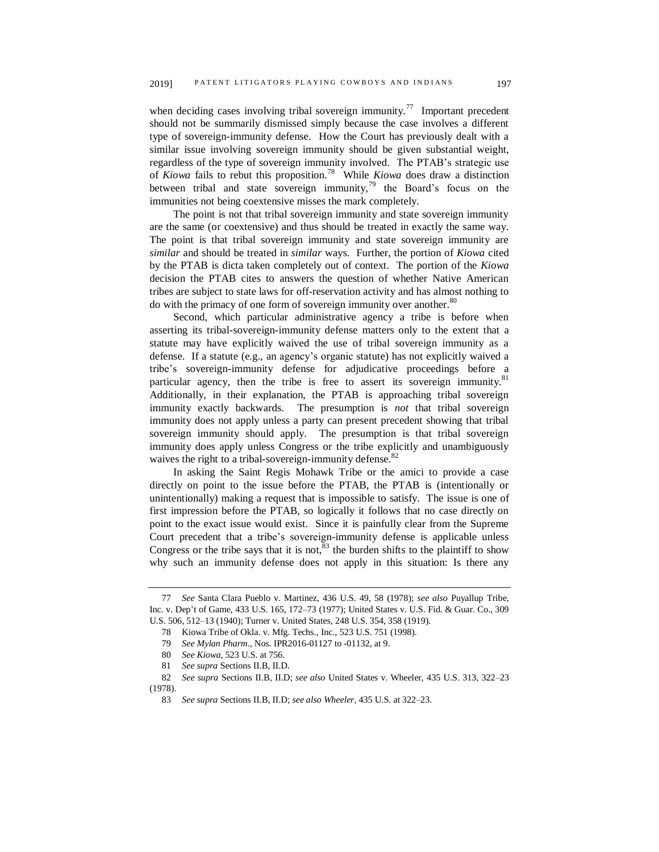when deciding cases involving tribal sovereign immunity.<sup>77</sup> Important precedent should not be summarily dismissed simply because the case involves a different type of sovereign-immunity defense. How the Court has previously dealt with a similar issue involving sovereign immunity should be given substantial weight, regardless of the type of sovereign immunity involved. The PTAB's strategic use of *Kiowa* fails to rebut this proposition.<sup>78</sup> While *Kiowa* does draw a distinction between tribal and state sovereign immunity,<sup>79</sup> the Board's focus on the immunities not being coextensive misses the mark completely.

The point is not that tribal sovereign immunity and state sovereign immunity are the same (or coextensive) and thus should be treated in exactly the same way. The point is that tribal sovereign immunity and state sovereign immunity are *similar* and should be treated in *similar* ways. Further, the portion of *Kiowa* cited by the PTAB is dicta taken completely out of context. The portion of the *Kiowa* decision the PTAB cites to answers the question of whether Native American tribes are subject to state laws for off-reservation activity and has almost nothing to do with the primacy of one form of sovereign immunity over another.<sup>80</sup>

Second, which particular administrative agency a tribe is before when asserting its tribal-sovereign-immunity defense matters only to the extent that a statute may have explicitly waived the use of tribal sovereign immunity as a defense. If a statute (e.g., an agency's organic statute) has not explicitly waived a tribe's sovereign-immunity defense for adjudicative proceedings before a particular agency, then the tribe is free to assert its sovereign immunity.<sup>81</sup> Additionally, in their explanation, the PTAB is approaching tribal sovereign immunity exactly backwards. The presumption is *not* that tribal sovereign immunity does not apply unless a party can present precedent showing that tribal sovereign immunity should apply. The presumption is that tribal sovereign immunity does apply unless Congress or the tribe explicitly and unambiguously waives the right to a tribal-sovereign-immunity defense.<sup>82</sup>

In asking the Saint Regis Mohawk Tribe or the amici to provide a case directly on point to the issue before the PTAB, the PTAB is (intentionally or unintentionally) making a request that is impossible to satisfy. The issue is one of first impression before the PTAB, so logically it follows that no case directly on point to the exact issue would exist. Since it is painfully clear from the Supreme Court precedent that a tribe's sovereign-immunity defense is applicable unless Congress or the tribe says that it is not,  $83$  the burden shifts to the plaintiff to show why such an immunity defense does not apply in this situation: Is there any

<sup>77</sup> *See* Santa Clara Pueblo v. Martinez, 436 U.S. 49, 58 (1978); *see also* Puyallup Tribe, Inc. v. Dep't of Game, 433 U.S. 165, 172–73 (1977); United States v. U.S. Fid. & Guar. Co., 309 U.S. 506, 512–13 (1940); Turner v. United States, 248 U.S. 354, 358 (1919).

<sup>78</sup> Kiowa Tribe of Okla. v. Mfg. Techs., Inc., 523 U.S. 751 (1998).

<sup>79</sup> *See Mylan Pharm.*, Nos. IPR2016-01127 to -01132, at 9.

<sup>80</sup> *See Kiowa*, 523 U.S. at 756.

<sup>81</sup> *See supra* Sections II.B, II.D.

<sup>82</sup> *See supra* Sections II.B, II.D; *see also* United States v. Wheeler, 435 U.S. 313, 322–23 (1978).

<sup>83</sup> *See supra* Sections II.B, II.D; *see also Wheeler*, 435 U.S. at 322–23.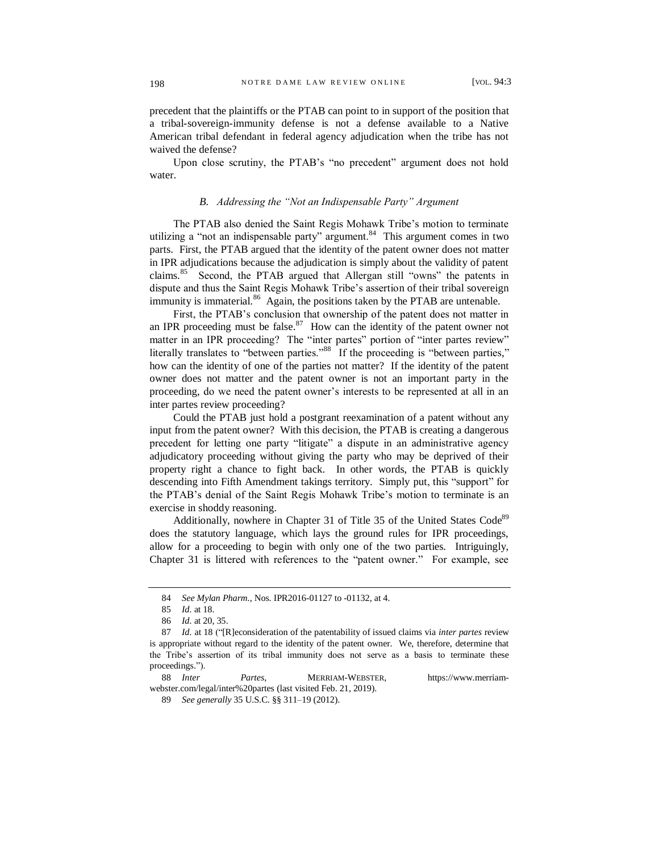precedent that the plaintiffs or the PTAB can point to in support of the position that a tribal-sovereign-immunity defense is not a defense available to a Native American tribal defendant in federal agency adjudication when the tribe has not waived the defense?

Upon close scrutiny, the PTAB's "no precedent" argument does not hold water.

#### *B. Addressing the "Not an Indispensable Party" Argument*

The PTAB also denied the Saint Regis Mohawk Tribe's motion to terminate utilizing a "not an indispensable party" argument.<sup>84</sup> This argument comes in two parts. First, the PTAB argued that the identity of the patent owner does not matter in IPR adjudications because the adjudication is simply about the validity of patent claims.<sup>85</sup> Second, the PTAB argued that Allergan still "owns" the patents in dispute and thus the Saint Regis Mohawk Tribe's assertion of their tribal sovereign immunity is immaterial.<sup>86</sup> Again, the positions taken by the PTAB are untenable.

First, the PTAB's conclusion that ownership of the patent does not matter in an IPR proceeding must be false. $87$  How can the identity of the patent owner not matter in an IPR proceeding? The "inter partes" portion of "inter partes review" literally translates to "between parties."<sup>88</sup> If the proceeding is "between parties," how can the identity of one of the parties not matter? If the identity of the patent owner does not matter and the patent owner is not an important party in the proceeding, do we need the patent owner's interests to be represented at all in an inter partes review proceeding?

Could the PTAB just hold a postgrant reexamination of a patent without any input from the patent owner? With this decision, the PTAB is creating a dangerous precedent for letting one party "litigate" a dispute in an administrative agency adjudicatory proceeding without giving the party who may be deprived of their property right a chance to fight back. In other words, the PTAB is quickly descending into Fifth Amendment takings territory. Simply put, this "support" for the PTAB's denial of the Saint Regis Mohawk Tribe's motion to terminate is an exercise in shoddy reasoning.

Additionally, nowhere in Chapter 31 of Title 35 of the United States Code<sup>89</sup> does the statutory language, which lays the ground rules for IPR proceedings, allow for a proceeding to begin with only one of the two parties. Intriguingly, Chapter 31 is littered with references to the "patent owner." For example, see

<sup>84</sup> *See Mylan Pharm.*, Nos. IPR2016-01127 to -01132, at 4.

<sup>85</sup> *Id.* at 18.

<sup>86</sup> *Id.* at 20, 35.

<sup>87</sup> *Id.* at 18 ("[R]econsideration of the patentability of issued claims via *inter partes* review is appropriate without regard to the identity of the patent owner. We, therefore, determine that the Tribe's assertion of its tribal immunity does not serve as a basis to terminate these proceedings.").

<sup>88</sup> *Inter Partes*, MERRIAM-WEBSTER, https://www.merriamwebster.com/legal/inter%20partes (last visited Feb. 21, 2019).

<sup>89</sup> *See generally* 35 U.S.C. §§ 311–19 (2012).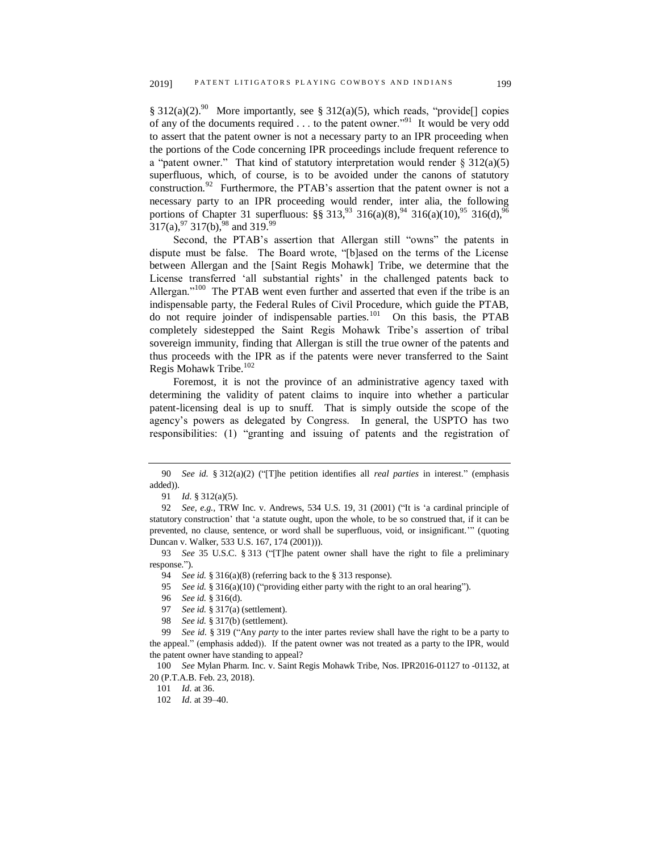§ 312(a)(2).<sup>90</sup> More importantly, see § 312(a)(5), which reads, "provide<sup>[]</sup> copies of any of the documents required . . . to the patent owner."<sup>91</sup> It would be very odd to assert that the patent owner is not a necessary party to an IPR proceeding when the portions of the Code concerning IPR proceedings include frequent reference to a "patent owner." That kind of statutory interpretation would render  $\S 312(a)(5)$ superfluous, which, of course, is to be avoided under the canons of statutory construction.<sup>92</sup> Furthermore, the PTAB's assertion that the patent owner is not a necessary party to an IPR proceeding would render, inter alia, the following portions of Chapter 31 superfluous:  $\S$ § 313,<sup>93</sup> 316(a)(8),<sup>94</sup> 316(a)(10),<sup>95</sup> 316(d),<sup>96</sup>  $317(a)$ ,  $97$  317(b),  $98$  and 319.  $99$ 

Second, the PTAB's assertion that Allergan still "owns" the patents in dispute must be false. The Board wrote, "[b]ased on the terms of the License between Allergan and the [Saint Regis Mohawk] Tribe, we determine that the License transferred 'all substantial rights' in the challenged patents back to Allergan."<sup>100</sup> The PTAB went even further and asserted that even if the tribe is an indispensable party, the Federal Rules of Civil Procedure, which guide the PTAB, do not require joinder of indispensable parties.<sup>101</sup> On this basis, the PTAB completely sidestepped the Saint Regis Mohawk Tribe's assertion of tribal sovereign immunity, finding that Allergan is still the true owner of the patents and thus proceeds with the IPR as if the patents were never transferred to the Saint Regis Mohawk Tribe.<sup>102</sup>

Foremost, it is not the province of an administrative agency taxed with determining the validity of patent claims to inquire into whether a particular patent-licensing deal is up to snuff. That is simply outside the scope of the agency's powers as delegated by Congress. In general, the USPTO has two responsibilities: (1) "granting and issuing of patents and the registration of

94 *See id.* § 316(a)(8) (referring back to the § 313 response).

95 *See id.* § 316(a)(10) ("providing either party with the right to an oral hearing").

96 *See id.* § 316(d).

97 *See id.* § 317(a) (settlement).

98 *See id.* § 317(b) (settlement).

99 *See id.* § 319 ("Any *party* to the inter partes review shall have the right to be a party to the appeal." (emphasis added)). If the patent owner was not treated as a party to the IPR, would the patent owner have standing to appeal?

100 *See* Mylan Pharm. Inc. v. Saint Regis Mohawk Tribe, Nos. IPR2016-01127 to -01132, at 20 (P.T.A.B. Feb. 23, 2018).

102 *Id.* at 39–40.

<sup>90</sup> *See id.* § 312(a)(2) ("[T]he petition identifies all *real parties* in interest." (emphasis added)).

<sup>91</sup> *Id.* § 312(a)(5).

<sup>92</sup> *See, e.g.*, TRW Inc. v. Andrews, 534 U.S. 19, 31 (2001) ("It is 'a cardinal principle of statutory construction' that 'a statute ought, upon the whole, to be so construed that, if it can be prevented, no clause, sentence, or word shall be superfluous, void, or insignificant.'" (quoting Duncan v. Walker, 533 U.S. 167, 174 (2001))).

<sup>93</sup> *See* 35 U.S.C. § 313 ("[T]he patent owner shall have the right to file a preliminary response.").

<sup>101</sup> *Id.* at 36.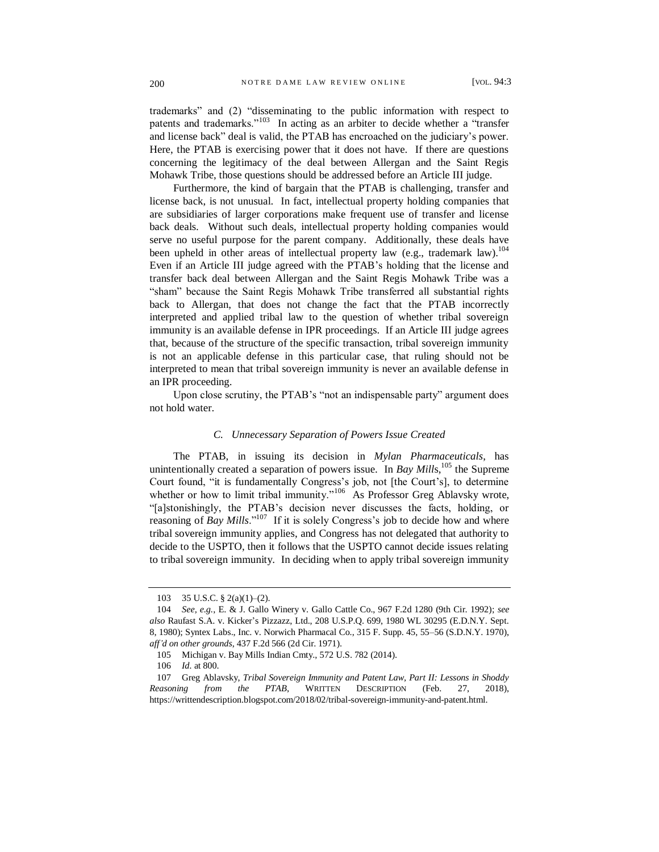trademarks" and (2) "disseminating to the public information with respect to patents and trademarks."<sup>103</sup> In acting as an arbiter to decide whether a "transfer and license back" deal is valid, the PTAB has encroached on the judiciary's power. Here, the PTAB is exercising power that it does not have. If there are questions concerning the legitimacy of the deal between Allergan and the Saint Regis Mohawk Tribe, those questions should be addressed before an Article III judge.

Furthermore, the kind of bargain that the PTAB is challenging, transfer and license back, is not unusual. In fact, intellectual property holding companies that are subsidiaries of larger corporations make frequent use of transfer and license back deals. Without such deals, intellectual property holding companies would serve no useful purpose for the parent company. Additionally, these deals have been upheld in other areas of intellectual property law (e.g., trademark law).<sup>104</sup> Even if an Article III judge agreed with the PTAB's holding that the license and transfer back deal between Allergan and the Saint Regis Mohawk Tribe was a "sham" because the Saint Regis Mohawk Tribe transferred all substantial rights back to Allergan, that does not change the fact that the PTAB incorrectly interpreted and applied tribal law to the question of whether tribal sovereign immunity is an available defense in IPR proceedings. If an Article III judge agrees that, because of the structure of the specific transaction, tribal sovereign immunity is not an applicable defense in this particular case, that ruling should not be interpreted to mean that tribal sovereign immunity is never an available defense in an IPR proceeding.

Upon close scrutiny, the PTAB's "not an indispensable party" argument does not hold water.

#### *C. Unnecessary Separation of Powers Issue Created*

The PTAB, in issuing its decision in *Mylan Pharmaceuticals*, has unintentionally created a separation of powers issue. In *Bay Mills*,<sup>105</sup> the Supreme Court found, "it is fundamentally Congress's job, not [the Court's], to determine whether or how to limit tribal immunity."<sup>106</sup> As Professor Greg Ablavsky wrote, "[a]stonishingly, the PTAB's decision never discusses the facts, holding, or reasoning of *Bay Mills*."<sup>107</sup> If it is solely Congress's job to decide how and where tribal sovereign immunity applies, and Congress has not delegated that authority to decide to the USPTO, then it follows that the USPTO cannot decide issues relating to tribal sovereign immunity. In deciding when to apply tribal sovereign immunity

<sup>103</sup> 35 U.S.C. § 2(a)(1)–(2).

<sup>104</sup> *See, e.g.*, E. & J. Gallo Winery v. Gallo Cattle Co., 967 F.2d 1280 (9th Cir. 1992); *see also* Raufast S.A. v. Kicker's Pizzazz, Ltd., 208 U.S.P.Q. 699, 1980 WL 30295 (E.D.N.Y. Sept. 8, 1980); Syntex Labs., Inc. v. Norwich Pharmacal Co., 315 F. Supp. 45, 55–56 (S.D.N.Y. 1970), *aff'd on other grounds*, 437 F.2d 566 (2d Cir. 1971).

<sup>105</sup> Michigan v. Bay Mills Indian Cmty., 572 U.S. 782 (2014).

<sup>106</sup> *Id.* at 800.

<sup>107</sup> Greg Ablavsky, *Tribal Sovereign Immunity and Patent Law, Part II: Lessons in Shoddy Reasoning from the PTAB*, WRITTEN DESCRIPTION (Feb. 27, 2018), https://writtendescription.blogspot.com/2018/02/tribal-sovereign-immunity-and-patent.html.